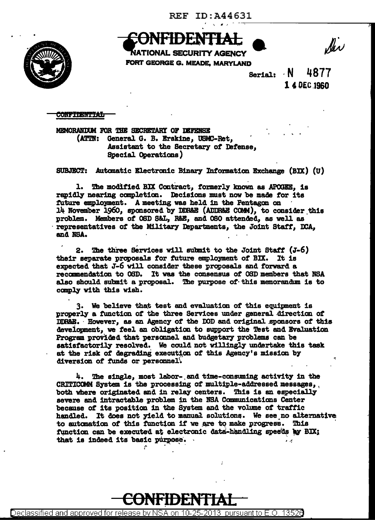

Ser

VATIONAL SECURITY AGENCY FORT GEORGE G. MEADE, MARYLAND

4877 Serial:  $\cdot$  N 1 4 DEC 1960

**CONFIDENTIAL** 

MEMORANDUM FOR THE SECRETARY OF DEFENSE (ATTN: General G. B. Erskine, USMC-Ret, Assistant to the Secretary of Defense, Special Operations)

SUBJECT: Automatic Electronic Binary Information Exchange (BIX) (U)

1. The modified BIX Contract, formerly known as APOGEE, is rapidly nearing completion. Decisions must now be made for its future employment. A meeting was held in the Pentagon on 14 November 1960, sponsored by DDR&E (ADDR&E COMM), to consider this problem. Members of OSD S&L, R&E, and OSO attended, as well as representatives of the Military Departments, the Joint Staff, DCA, and NSA.

2. The three Services will submit to the Joint Staff (J-6) their separate proposals for future employment of BIX. It is expected that J-6 will consider these proposals and forward a recommendation to OSD. It was the consensus of OSD members that NSA also should submit a proposal. The purpose of this memorandum is to comply with this wish.

3. We believe that test and evaluation of this equipment is properly a function of the three Services under general direction of DDR&E. However, as an Agency of the DOD and original sponsors of this development, we feel an obligation to support the Test and Evaluation Program provided that personnel and budgetary problems can be satisfactorily resolved. We could not willingly undertake this task at the risk of degrading execution of this Agency's mission by diversion of funds or personnel.

4. The single, most labor- and time-consuming activity in the CRITICOMM System is the processing of multiple-addressed messages, both where originated and in relay centers. This is an especially severe and intractable problem in the NSA Communications Center because of its position in the System and the volume of traffic handled. It does not yield to manual solutions. We see no alternative to automation of this function if we are to make progress. This function can be executed at electronic data-handling speeds by BIX; that is indeed its basic purpose.  $\mathbf{r}$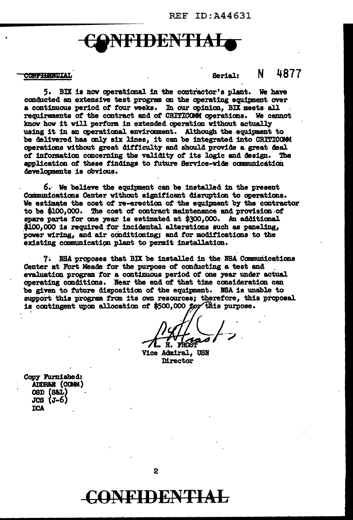## **NFIDENTIA**

## **CONFIBENTIAL**

Serial: N 4877

5. BIX is now operaticaal in the contractor' a plant. We have conducted an extensive teat program ca the operating equipment over a continuous period of four weeks. In our opinion, BIX meets all requirements of the contract and of CRITICOMM operations. We cannot know how it will perform in extended operation without actually using it in an operational environment. Although the equipment to be delivered has only six lines, it can be integrated into CRITICOMM operations without great difficulty and should provide a great deal *ot* infomation concerning the valid1ty of its J.osic and design. The application of these findings to future Service-wide communication developments is obvious.

*6.·* We believe the equipnent can be installed 1D the present Communications Center without significant disruption to operations. We estimate the cost of re-erection of the equipment by the contractor to be \$100.000. The cost of contract maintenance and provision of spare parts for one year is estimated at \$300,000. An additional \$100.000 is required for incidental alterations such as paneling. power wiring, and air conditioning; and for modifications to the existing communication plant to permit installation.

7. NSA proposes that BIX be installed in the NSA Communications Center at Fort Meade for the purpose of conducting a test and evaluation program for a continuous period of one year under actual operating conditions. Near the end of that time consideration can be given to future dispositicm of the equipnent. IBA is unable to support this program from its own resources; therefore, this proposal is contingent upon allocation of \$500,000 for this purpose.

. .

Vice Admiral, USN **Mrector** 

Copy Furnished: .<br>ADDR&B (COMM)<br>OSD (S&L)  $JCS$   $(J-6)$ :ooA

C()NF'IDEN'fiAL